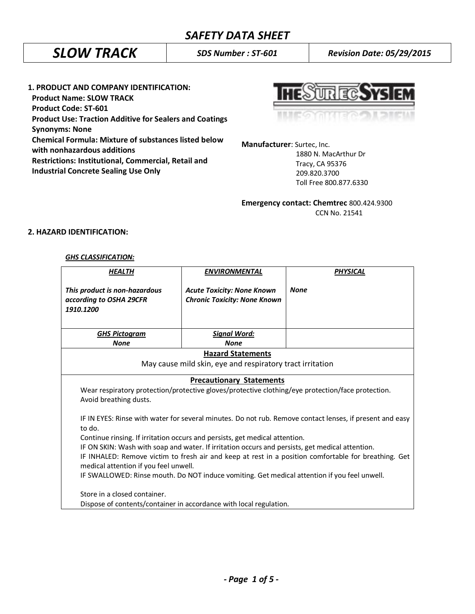# *SAFETY DATA SHEET*

# *SLOW TRACK SDS Number : ST-601 Revision Date: 05/29/2015*

**1. PRODUCT AND COMPANY IDENTIFICATION: Product Name: SLOW TRACK Product Code: ST-601 Product Use: Traction Additive for Sealers and Coatings Synonyms: None Chemical Formula: Mixture of substances listed below with nonhazardous additions Restrictions: Institutional, Commercial, Retail and Industrial Concrete Sealing Use Only** 

UR FC. Y

**Manufacturer**: Surtec, Inc.

 1880 N. MacArthur Dr Tracy, CA 95376 209.820.3700 Toll Free 800.877.6330

**Emergency contact: Chemtrec** 800.424.9300 CCN No. 21541

# **2. HAZARD IDENTIFICATION:**

# *GHS CLASSIFICATION:*

| <b>HEALTH</b>                                                                                                                                                                                                                                                                                                                                                       | <b>ENVIRONMENTAL</b>                                                     | <b>PHYSICAL</b> |  |  |
|---------------------------------------------------------------------------------------------------------------------------------------------------------------------------------------------------------------------------------------------------------------------------------------------------------------------------------------------------------------------|--------------------------------------------------------------------------|-----------------|--|--|
| This product is non-hazardous<br>according to OSHA 29CFR<br>1910.1200                                                                                                                                                                                                                                                                                               | <b>Acute Toxicity: None Known</b><br><b>Chronic Toxicity: None Known</b> | <b>None</b>     |  |  |
| <b>GHS Pictogram</b>                                                                                                                                                                                                                                                                                                                                                | <b>Signal Word:</b>                                                      |                 |  |  |
| <b>None</b>                                                                                                                                                                                                                                                                                                                                                         | <b>None</b>                                                              |                 |  |  |
| <b>Hazard Statements</b>                                                                                                                                                                                                                                                                                                                                            |                                                                          |                 |  |  |
| May cause mild skin, eye and respiratory tract irritation                                                                                                                                                                                                                                                                                                           |                                                                          |                 |  |  |
| <b>Precautionary Statements</b><br>Wear respiratory protection/protective gloves/protective clothing/eye protection/face protection.<br>Avoid breathing dusts.<br>IF IN EYES: Rinse with water for several minutes. Do not rub. Remove contact lenses, if present and easy<br>to do.<br>Continue rinsing. If irritation occurs and persists, get medical attention. |                                                                          |                 |  |  |
| IF ON SKIN: Wash with soap and water. If irritation occurs and persists, get medical attention.<br>IF INHALED: Remove victim to fresh air and keep at rest in a position comfortable for breathing. Get<br>medical attention if you feel unwell.<br>IF SWALLOWED: Rinse mouth. Do NOT induce vomiting. Get medical attention if you feel unwell.                    |                                                                          |                 |  |  |
| Store in a closed container.<br>Dispose of contents/container in accordance with local regulation.                                                                                                                                                                                                                                                                  |                                                                          |                 |  |  |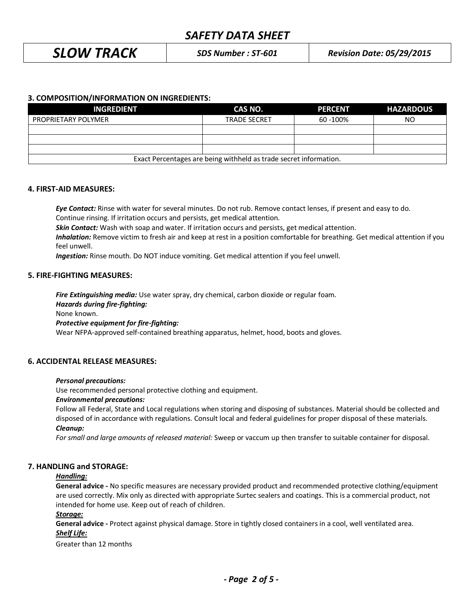# *SAFETY DATA SHEET*

*SLOW TRACK SDS Number : ST-601 Revision Date: 05/29/2015*

# **3. COMPOSITION/INFORMATION ON INGREDIENTS:**

| <b>INGREDIENT</b>                                                 | CAS NO.             | <b>PERCENT</b> | <b>HAZARDOUS</b> |  |
|-------------------------------------------------------------------|---------------------|----------------|------------------|--|
| <b>PROPRIETARY POLYMER</b>                                        | <b>TRADE SECRET</b> | 60 - 100%      | ΝO               |  |
|                                                                   |                     |                |                  |  |
|                                                                   |                     |                |                  |  |
|                                                                   |                     |                |                  |  |
| Exact Percentages are being withheld as trade secret information. |                     |                |                  |  |

# **4. FIRST-AID MEASURES:**

*Eye Contact:* Rinse with water for several minutes. Do not rub. Remove contact lenses, if present and easy to do. Continue rinsing. If irritation occurs and persists, get medical attention.

*Skin Contact:* Wash with soap and water. If irritation occurs and persists, get medical attention.

*Inhalation:* Remove victim to fresh air and keep at rest in a position comfortable for breathing. Get medical attention if you feel unwell.

*Ingestion:* Rinse mouth. Do NOT induce vomiting. Get medical attention if you feel unwell.

# **5. FIRE-FIGHTING MEASURES:**

*Fire Extinguishing media:* Use water spray, dry chemical, carbon dioxide or regular foam. *Hazards during fire-fighting:* None known. *Protective equipment for fire-fighting:* Wear NFPA-approved self-contained breathing apparatus, helmet, hood, boots and gloves.

# **6. ACCIDENTAL RELEASE MEASURES:**

#### *Personal precautions:*

Use recommended personal protective clothing and equipment.

#### *Environmental precautions:*

Follow all Federal, State and Local regulations when storing and disposing of substances. Material should be collected and disposed of in accordance with regulations. Consult local and federal guidelines for proper disposal of these materials. *Cleanup:*

*For small and large amounts of released material:* Sweep or vaccum up then transfer to suitable container for disposal.

#### **7. HANDLING and STORAGE:**

# *Handling:*

**General advice -** No specific measures are necessary provided product and recommended protective clothing/equipment are used correctly. Mix only as directed with appropriate Surtec sealers and coatings. This is a commercial product, not intended for home use. Keep out of reach of children.

#### *Storage:*

**General advice -** Protect against physical damage. Store in tightly closed containers in a cool, well ventilated area. *Shelf Life:*

Greater than 12 months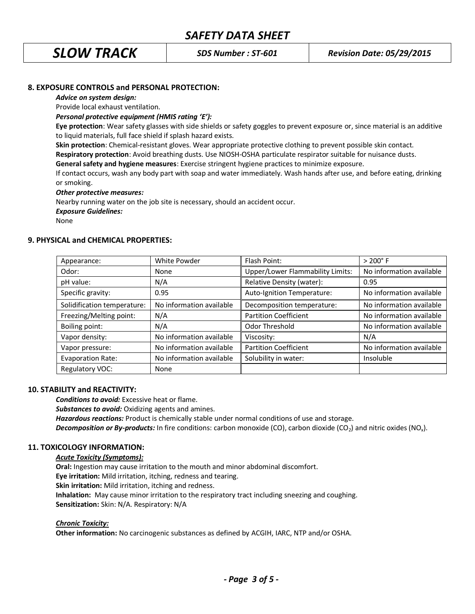# **8. EXPOSURE CONTROLS and PERSONAL PROTECTION:**

#### *Advice on system design:*

Provide local exhaust ventilation.

*Personal protective equipment (HMIS rating 'E'):* 

**Eye protection**: Wear safety glasses with side shields or safety goggles to prevent exposure or, since material is an additive to liquid materials, full face shield if splash hazard exists.

**Skin protection**: Chemical-resistant gloves. Wear appropriate protective clothing to prevent possible skin contact.

**Respiratory protection**: Avoid breathing dusts. Use NIOSH-OSHA particulate respirator suitable for nuisance dusts.

**General safety and hygiene measures**: Exercise stringent hygiene practices to minimize exposure.

If contact occurs, wash any body part with soap and water immediately. Wash hands after use, and before eating, drinking or smoking.

#### *Other protective measures:*

Nearby running water on the job site is necessary, should an accident occur.

*Exposure Guidelines:*

None

# **9. PHYSICAL and CHEMICAL PROPERTIES:**

| Appearance:                 | White Powder             | Flash Point:                            | $> 200^{\circ}$ F        |
|-----------------------------|--------------------------|-----------------------------------------|--------------------------|
| Odor:                       | None                     | <b>Upper/Lower Flammability Limits:</b> | No information available |
| pH value:                   | N/A                      | Relative Density (water):               | 0.95                     |
| Specific gravity:           | 0.95                     | Auto-Ignition Temperature:              | No information available |
| Solidification temperature: | No information available | Decomposition temperature:              | No information available |
| Freezing/Melting point:     | N/A                      | <b>Partition Coefficient</b>            | No information available |
| Boiling point:              | N/A                      | Odor Threshold                          | No information available |
| Vapor density:              | No information available | Viscosity:                              | N/A                      |
| Vapor pressure:             | No information available | <b>Partition Coefficient</b>            | No information available |
| <b>Evaporation Rate:</b>    | No information available | Solubility in water:                    | Insoluble                |
| Regulatory VOC:             | None                     |                                         |                          |

# **10. STABILITY and REACTIVITY:**

*Conditions to avoid:* Excessive heat or flame.

*Substances to avoid:* Oxidizing agents and amines.

*Hazardous reactions:* Product is chemically stable under normal conditions of use and storage.

*Decomposition or By-products:* In fire conditions: carbon monoxide (CO), carbon dioxide (CO<sub>2</sub>) and nitric oxides (NO<sub>x</sub>).

# **11. TOXICOLOGY INFORMATION:**

# *Acute Toxicity (Symptoms):*

**Oral:** Ingestion may cause irritation to the mouth and minor abdominal discomfort. **Eye irritation:** Mild irritation, itching, redness and tearing. **Skin irritation:** Mild irritation, itching and redness. **Inhalation:** May cause minor irritation to the respiratory tract including sneezing and coughing. **Sensitization:** Skin: N/A. Respiratory: N/A

# *Chronic Toxicity:*

**Other information:** No carcinogenic substances as defined by ACGIH, IARC, NTP and/or OSHA.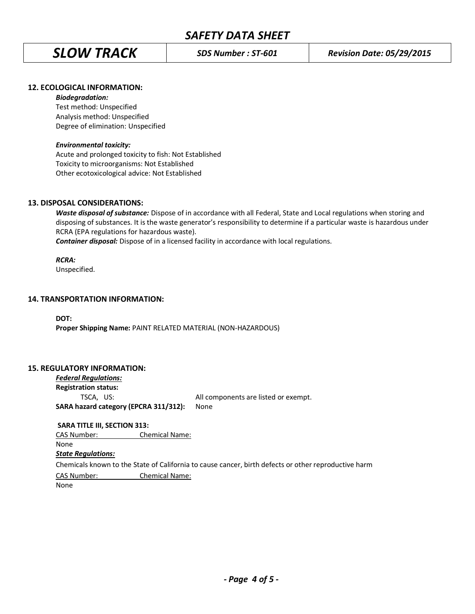*SLOW TRACK SDS Number : ST-601 Revision Date: 05/29/2015*

# **12. ECOLOGICAL INFORMATION:**

#### *Biodegradation:*

Test method: Unspecified Analysis method: Unspecified Degree of elimination: Unspecified

# *Environmental toxicity:*

Acute and prolonged toxicity to fish: Not Established Toxicity to microorganisms: Not Established Other ecotoxicological advice: Not Established

# **13. DISPOSAL CONSIDERATIONS:**

*Waste disposal of substance:* Dispose of in accordance with all Federal, State and Local regulations when storing and disposing of substances. It is the waste generator's responsibility to determine if a particular waste is hazardous under RCRA (EPA regulations for hazardous waste).

**Container disposal:** Dispose of in a licensed facility in accordance with local regulations.

# *RCRA:*

Unspecified.

# **14. TRANSPORTATION INFORMATION:**

**DOT: Proper Shipping Name:** PAINT RELATED MATERIAL (NON-HAZARDOUS)

# **15. REGULATORY INFORMATION:**

*Federal Regulations:* **Registration status:** TSCA, US: All components are listed or exempt. **SARA hazard category (EPCRA 311/312):** None

**SARA TITLE III, SECTION 313:**

CAS Number: Chemical Name:

#### None

#### *State Regulations:*

Chemicals known to the State of California to cause cancer, birth defects or other reproductive harm

CAS Number: Chemical Name:

None